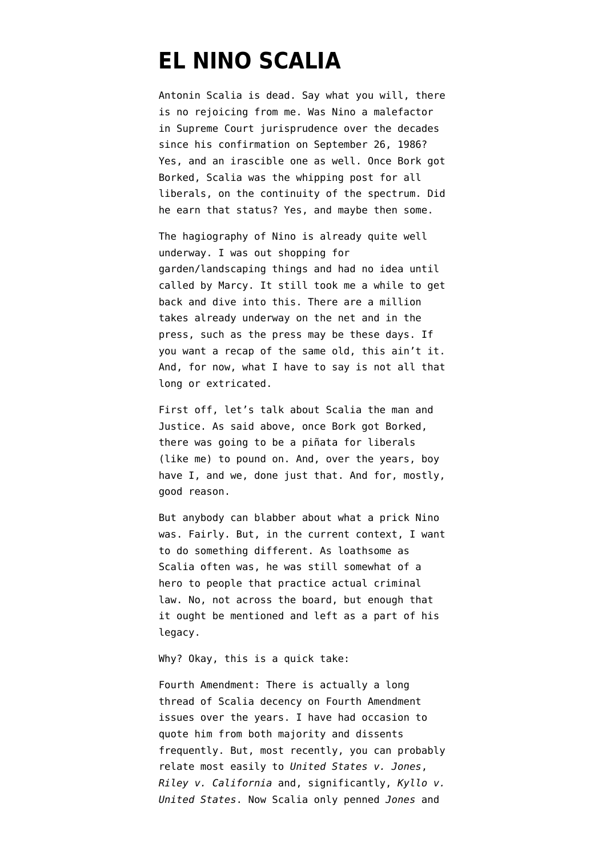## **[EL NINO SCALIA](https://www.emptywheel.net/2016/02/13/el-nino-scalia/)**

Antonin Scalia is dead. Say what you will, there is no rejoicing from me. Was Nino a malefactor in Supreme Court jurisprudence over the decades since his confirmation on September 26, 1986? Yes, and an irascible one as well. Once Bork got Borked, Scalia was the whipping post for all liberals, on the continuity of the spectrum. Did he earn that status? Yes, and maybe then some.

The hagiography of Nino is already quite well underway. I was out shopping for garden/landscaping things and had no idea until called by Marcy. It still took me a while to get back and dive into this. There are a million takes already underway on the net and in the press, such as the press may be these days. If you want a recap of the same old, this ain't it. And, for now, what I have to say is not all that long or extricated.

First off, let's talk about Scalia the man and Justice. As said above, once Bork got Borked, there was going to be a piñata for liberals (like me) to pound on. And, over the years, boy have I, and we, done just that. And for, mostly, good reason.

But anybody can blabber about what a prick Nino was. Fairly. But, in the current context, I want to do something different. As loathsome as Scalia often was, he was still somewhat of a hero to people that practice actual criminal law. No, not across the board, but enough that it ought be mentioned and left as a part of his legacy.

Why? Okay, this is a quick take:

Fourth Amendment: There is actually a long thread of Scalia decency on Fourth Amendment issues over the years. I have had occasion to quote him from both majority and dissents frequently. But, most recently, you can probably relate most easily to *[United States v. Jones](https://en.wikipedia.org/wiki/United_States_v._Jones_(2012))*, *[Riley v. California](https://en.wikipedia.org/wiki/Riley_v._California)* and, significantly, *[Kyllo v.](https://en.wikipedia.org/wiki/Kyllo_v._United_States) [United States](https://en.wikipedia.org/wiki/Kyllo_v._United_States)*. Now Scalia only penned *Jones* and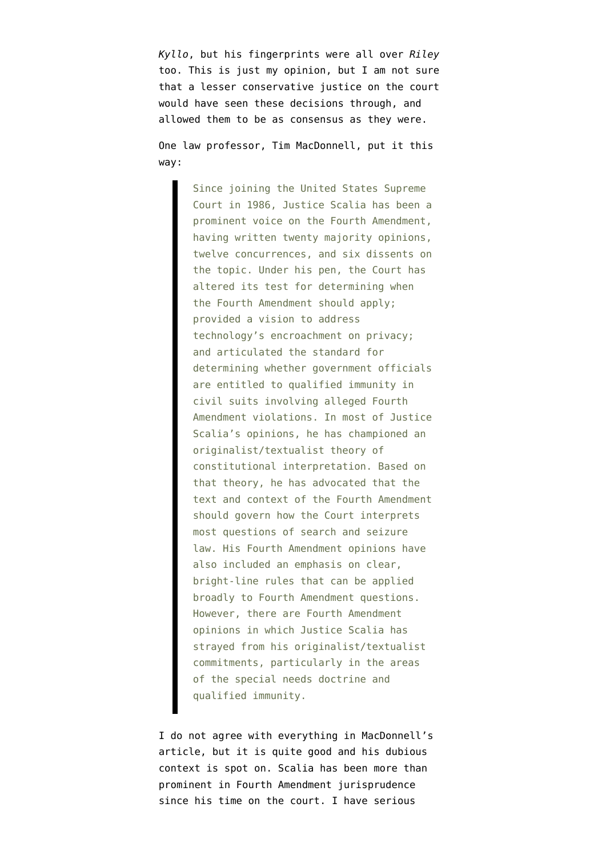*Kyllo*, but his fingerprints were all over *Riley* too. This is just my opinion, but I am not sure that a lesser conservative justice on the court would have seen these decisions through, and allowed them to be as consensus as they were.

One law professor, [Tim MacDonnell,](http://virginiajournalofcriminallaw.com/wp-content/uploads/2014/08/MacDonnell-3-Va.-J.-Crim.-L.-175-2015.pdf) put it this way:

> Since joining the United States Supreme Court in 1986, Justice Scalia has been a prominent voice on the Fourth Amendment, having written twenty majority opinions, twelve concurrences, and six dissents on the topic. Under his pen, the Court has altered its test for determining when the Fourth Amendment should apply; provided a vision to address technology's encroachment on privacy; and articulated the standard for determining whether government officials are entitled to qualified immunity in civil suits involving alleged Fourth Amendment violations. In most of Justice Scalia's opinions, he has championed an originalist/textualist theory of constitutional interpretation. Based on that theory, he has advocated that the text and context of the Fourth Amendment should govern how the Court interprets most questions of search and seizure law. His Fourth Amendment opinions have also included an emphasis on clear, bright-line rules that can be applied broadly to Fourth Amendment questions. However, there are Fourth Amendment opinions in which Justice Scalia has strayed from his originalist/textualist commitments, particularly in the areas of the special needs doctrine and qualified immunity.

I do not agree with everything in MacDonnell's article, but it is quite good and his dubious context is spot on. Scalia has been more than prominent in Fourth Amendment jurisprudence since his time on the court. I have serious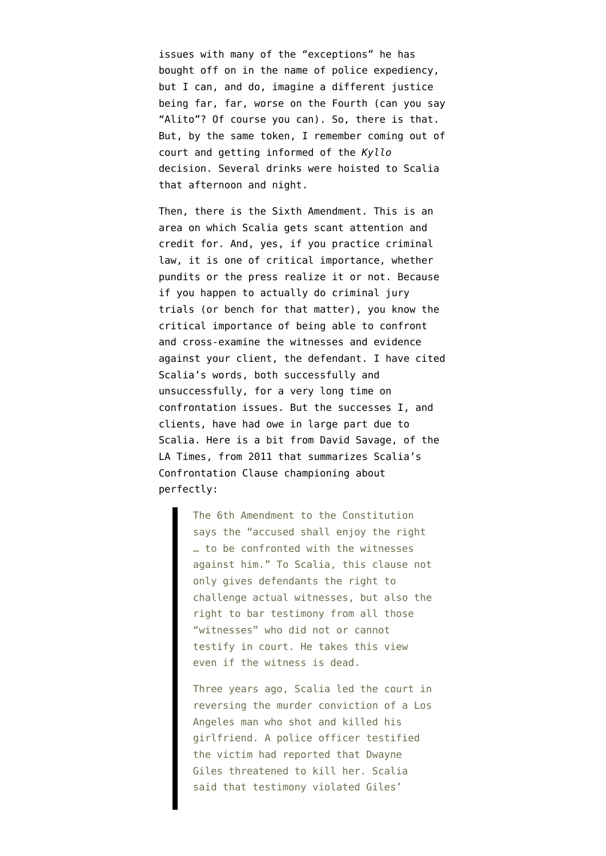issues with many of the "exceptions" he has bought off on in the name of police expediency, but I can, and do, imagine a different justice being far, far, worse on the Fourth (can you say "Alito"? Of course you can). So, there is that. But, by the same token, I remember coming out of court and getting informed of the *Kyllo* decision. Several drinks were hoisted to Scalia that afternoon and night.

Then, there is the Sixth Amendment. This is an area on which Scalia gets scant attention and credit for. And, yes, if you practice criminal law, it is one of critical importance, whether pundits or the press realize it or not. Because if you happen to actually do criminal jury trials (or bench for that matter), you know the critical importance of being able to confront and cross-examine the witnesses and evidence against your client, the defendant. I have cited Scalia's words, both successfully and unsuccessfully, for a very long time on confrontation issues. But the successes I, and clients, have had owe in large part due to Scalia. Here is a bit [from David Savage, of the](http://articles.latimes.com/2011/nov/24/nation/la-na-court-scalia-20111125) [LA Times,](http://articles.latimes.com/2011/nov/24/nation/la-na-court-scalia-20111125) from 2011 that summarizes Scalia's Confrontation Clause championing about perfectly:

> The 6th Amendment to the Constitution says the "accused shall enjoy the right … to be confronted with the witnesses against him." To Scalia, this clause not only gives defendants the right to challenge actual witnesses, but also the right to bar testimony from all those "witnesses" who did not or cannot testify in court. He takes this view even if the witness is dead.

> Three years ago, Scalia led the court in reversing the murder conviction of a Los Angeles man who shot and killed his girlfriend. A police officer testified the victim had reported that Dwayne Giles threatened to kill her. Scalia said that testimony violated Giles'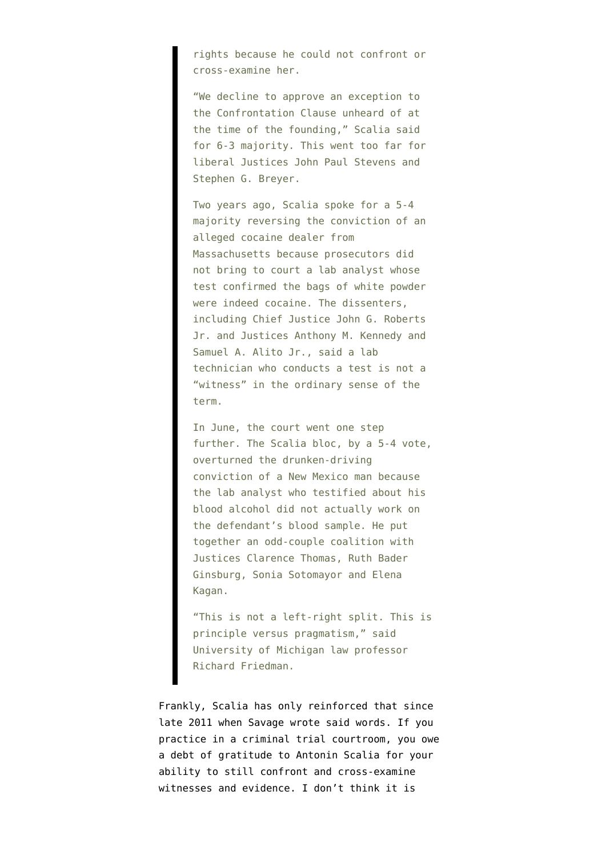rights because he could not confront or cross-examine her.

"We decline to approve an exception to the Confrontation Clause unheard of at the time of the founding," Scalia said for 6-3 majority. This went too far for liberal Justices John Paul Stevens and Stephen G. Breyer.

Two years ago, Scalia spoke for a 5-4 majority reversing the conviction of an alleged cocaine dealer from Massachusetts because prosecutors did not bring to court a lab analyst whose test confirmed the bags of white powder were indeed cocaine. The dissenters, including Chief Justice John G. Roberts Jr. and Justices Anthony M. Kennedy and Samuel A. Alito Jr., said a lab technician who conducts a test is not a "witness" in the ordinary sense of the term.

In June, the court went one step further. The Scalia bloc, by a 5-4 vote, overturned the drunken-driving conviction of a New Mexico man because the lab analyst who testified about his blood alcohol did not actually work on the defendant's blood sample. He put together an odd-couple coalition with Justices Clarence Thomas, Ruth Bader Ginsburg, Sonia Sotomayor and Elena Kagan.

"This is not a left-right split. This is principle versus pragmatism," said University of Michigan law professor Richard Friedman.

Frankly, Scalia has only reinforced that since late 2011 when Savage wrote said words. If you practice in a criminal trial courtroom, you owe a debt of gratitude to Antonin Scalia for your ability to still confront and cross-examine witnesses and evidence. I don't think it is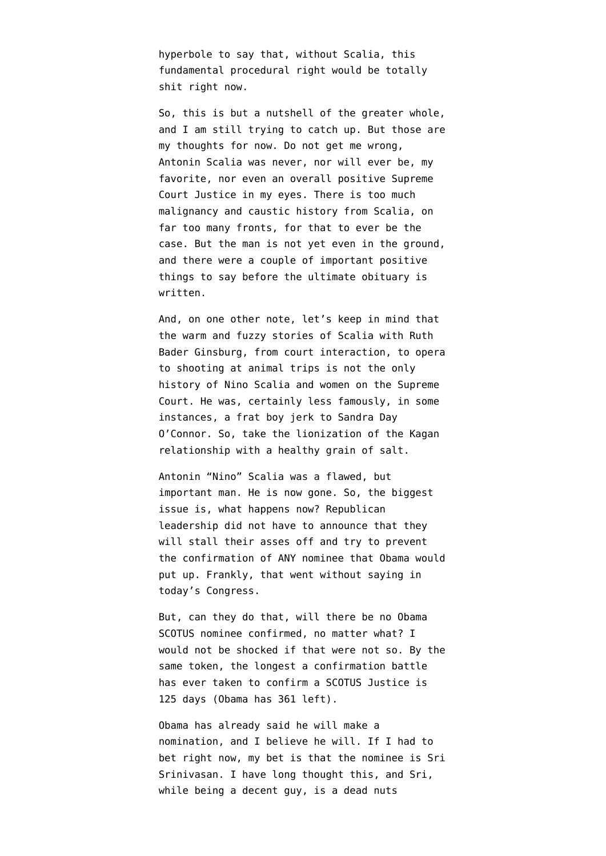hyperbole to say that, without Scalia, this fundamental procedural right would be totally shit right now.

So, this is but a nutshell of the greater whole, and I am still trying to catch up. But those are my thoughts for now. Do not get me wrong, Antonin Scalia was never, nor will ever be, my favorite, nor even an overall positive Supreme Court Justice in my eyes. There is too much malignancy and caustic history from Scalia, on far too many fronts, for that to ever be the case. But the man is not yet even in the ground, and there were a couple of important positive things to say before the ultimate obituary is written.

And, on one other note, let's keep in mind that the warm and fuzzy stories of Scalia with Ruth Bader Ginsburg, from court interaction, to opera to shooting at animal trips is not the only history of Nino Scalia and women on the Supreme Court. He was, certainly less famously, in some instances, a frat boy jerk to Sandra Day O'Connor. So, take the lionization of the Kagan relationship with a healthy grain of salt.

Antonin "Nino" Scalia was a flawed, but important man. He is now gone. So, the biggest issue is, what happens now? Republican leadership did not have to announce that they will stall their asses off and try to prevent the confirmation of ANY nominee that Obama would put up. Frankly, that went without saying in today's Congress.

But, can they do that, will there be no Obama SCOTUS nominee confirmed, no matter what? I would not be shocked if that were not so. By the same token, the [longest a confirmation battle](http://thinkprogress.org/justice/2016/02/13/3749467/moments-after-scalias-death-is-confirmed-gop-senate-staffer-pledges-to-block-any-obama-replacement/) [has ever taken to confirm](http://thinkprogress.org/justice/2016/02/13/3749467/moments-after-scalias-death-is-confirmed-gop-senate-staffer-pledges-to-block-any-obama-replacement/) a SCOTUS Justice is 125 days (Obama has 361 left).

Obama has already said he will make a nomination, and I believe he will. If I had to bet right now, my bet is that the nominee is [Sri](http://komonews.com/news/nation-world/sri-srinivasan-who-is-he-scalias-possible-replacement) [Srinivasan.](http://komonews.com/news/nation-world/sri-srinivasan-who-is-he-scalias-possible-replacement) I have long thought this, and Sri, while being a decent guy, is a dead nuts